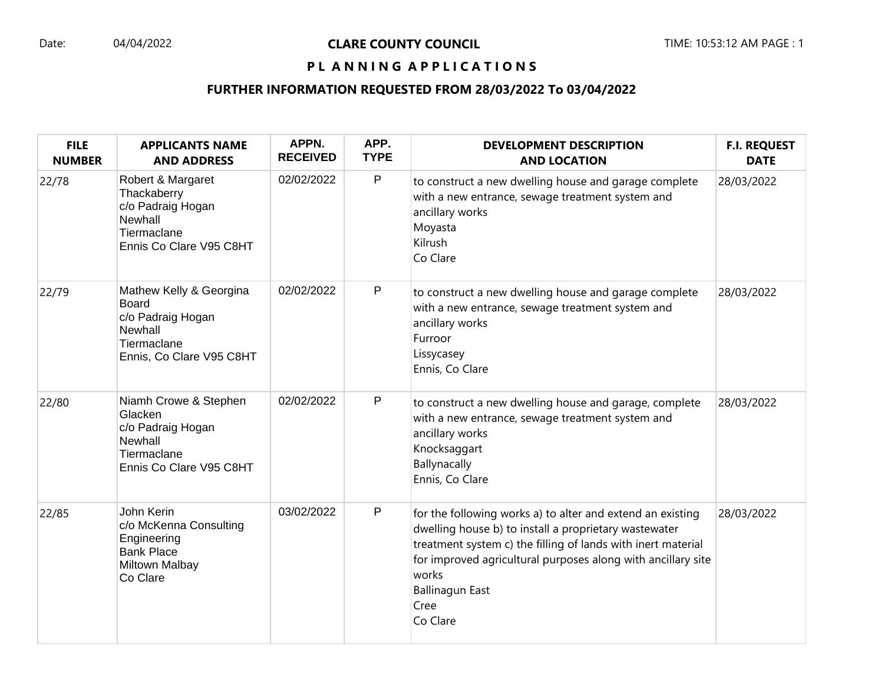## PL ANNING APPLICATIONS

| <b>FILE</b><br><b>NUMBER</b> | <b>APPLICANTS NAME</b><br><b>AND ADDRESS</b>                                                                       | APPN.<br><b>RECEIVED</b> | APP.<br><b>TYPE</b> | <b>DEVELOPMENT DESCRIPTION</b><br><b>AND LOCATION</b>                                                                                                                                                                                                                                                      | <b>F.I. REQUEST</b><br><b>DATE</b> |
|------------------------------|--------------------------------------------------------------------------------------------------------------------|--------------------------|---------------------|------------------------------------------------------------------------------------------------------------------------------------------------------------------------------------------------------------------------------------------------------------------------------------------------------------|------------------------------------|
| 22/78                        | Robert & Margaret<br>Thackaberry<br>c/o Padraig Hogan<br>Newhall<br>Tiermaclane<br>Ennis Co Clare V95 C8HT         | 02/02/2022               | P                   | to construct a new dwelling house and garage complete<br>with a new entrance, sewage treatment system and<br>ancillary works<br>Moyasta<br>Kilrush<br>Co Clare                                                                                                                                             | 28/03/2022                         |
| 22/79                        | Mathew Kelly & Georgina<br><b>Board</b><br>c/o Padraig Hogan<br>Newhall<br>Tiermaclane<br>Ennis, Co Clare V95 C8HT | 02/02/2022               | P                   | to construct a new dwelling house and garage complete<br>with a new entrance, sewage treatment system and<br>ancillary works<br>Furroor<br>Lissycasey<br>Ennis, Co Clare                                                                                                                                   | 28/03/2022                         |
| 22/80                        | Niamh Crowe & Stephen<br>Glacken<br>c/o Padraig Hogan<br>Newhall<br>Tiermaclane<br>Ennis Co Clare V95 C8HT         | 02/02/2022               | P                   | to construct a new dwelling house and garage, complete<br>with a new entrance, sewage treatment system and<br>ancillary works<br>Knocksaggart<br>Ballynacally<br>Ennis, Co Clare                                                                                                                           | 28/03/2022                         |
| 22/85                        | John Kerin<br>c/o McKenna Consulting<br>Engineering<br><b>Bank Place</b><br>Miltown Malbay<br>Co Clare             | 03/02/2022               | P                   | for the following works a) to alter and extend an existing<br>dwelling house b) to install a proprietary wastewater<br>treatment system c) the filling of lands with inert material<br>for improved agricultural purposes along with ancillary site<br>works<br><b>Ballinagun East</b><br>Cree<br>Co Clare | 28/03/2022                         |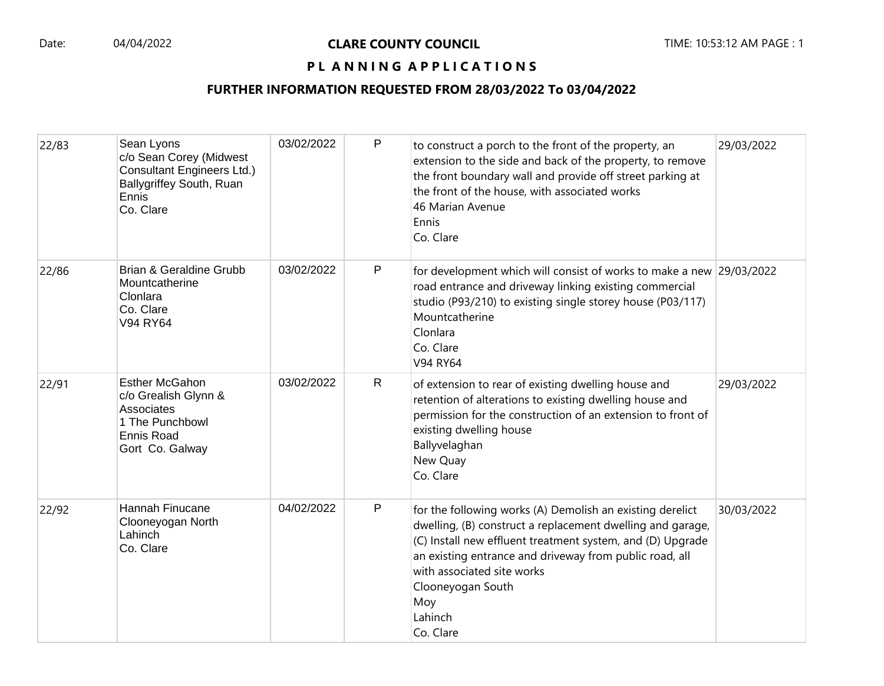#### PL ANNING APPLICATIONS

| 22/83 | Sean Lyons<br>c/o Sean Corey (Midwest<br><b>Consultant Engineers Ltd.)</b><br>Ballygriffey South, Ruan<br>Ennis<br>Co. Clare | 03/02/2022 | P            | to construct a porch to the front of the property, an<br>extension to the side and back of the property, to remove<br>the front boundary wall and provide off street parking at<br>the front of the house, with associated works<br>46 Marian Avenue<br>Ennis<br>Co. Clare                                                         | 29/03/2022 |
|-------|------------------------------------------------------------------------------------------------------------------------------|------------|--------------|------------------------------------------------------------------------------------------------------------------------------------------------------------------------------------------------------------------------------------------------------------------------------------------------------------------------------------|------------|
| 22/86 | Brian & Geraldine Grubb<br>Mountcatherine<br>Clonlara<br>Co. Clare<br>V94 RY64                                               | 03/02/2022 | P            | for development which will consist of works to make a new 29/03/2022<br>road entrance and driveway linking existing commercial<br>studio (P93/210) to existing single storey house (P03/117)<br>Mountcatherine<br>Clonlara<br>Co. Clare<br>V94 RY64                                                                                |            |
| 22/91 | <b>Esther McGahon</b><br>c/o Grealish Glynn &<br>Associates<br>1 The Punchbowl<br><b>Ennis Road</b><br>Gort Co. Galway       | 03/02/2022 | $\mathsf{R}$ | of extension to rear of existing dwelling house and<br>retention of alterations to existing dwelling house and<br>permission for the construction of an extension to front of<br>existing dwelling house<br>Ballyvelaghan<br>New Quay<br>Co. Clare                                                                                 | 29/03/2022 |
| 22/92 | Hannah Finucane<br>Clooneyogan North<br>Lahinch<br>Co. Clare                                                                 | 04/02/2022 | P            | for the following works (A) Demolish an existing derelict<br>dwelling, (B) construct a replacement dwelling and garage,<br>(C) Install new effluent treatment system, and (D) Upgrade<br>an existing entrance and driveway from public road, all<br>with associated site works<br>Clooneyogan South<br>Moy<br>Lahinch<br>Co. Clare | 30/03/2022 |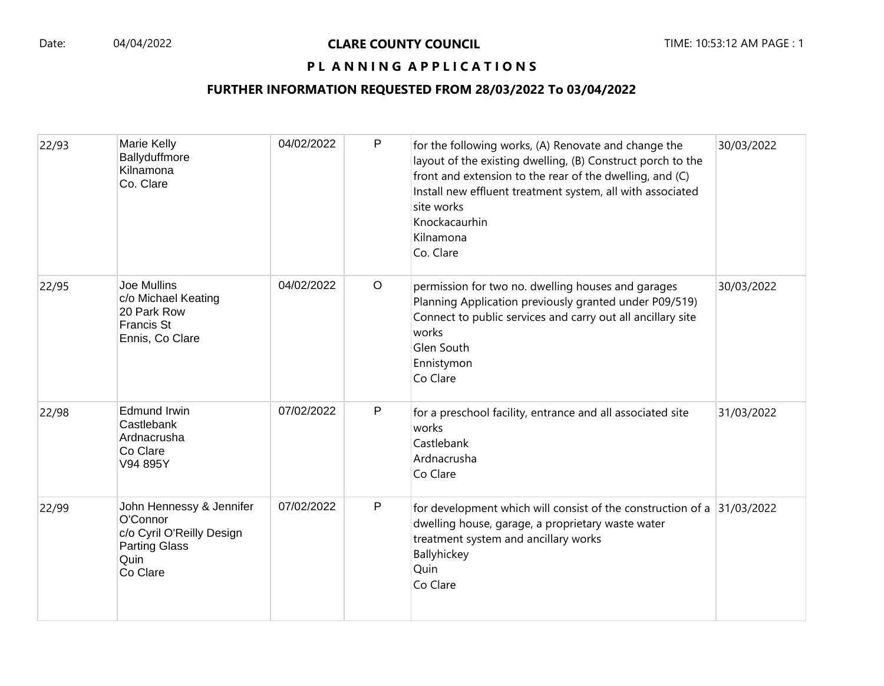### PL ANNING APPLICATIONS

| 22/93 | Marie Kelly<br>Ballyduffmore<br>Kilnamona<br>Co. Clare                                                        | 04/02/2022 | P       | for the following works, (A) Renovate and change the<br>layout of the existing dwelling, (B) Construct porch to the<br>front and extension to the rear of the dwelling, and (C)<br>Install new effluent treatment system, all with associated<br>site works<br>Knockacaurhin<br>Kilnamona<br>Co. Clare | 30/03/2022 |
|-------|---------------------------------------------------------------------------------------------------------------|------------|---------|--------------------------------------------------------------------------------------------------------------------------------------------------------------------------------------------------------------------------------------------------------------------------------------------------------|------------|
| 22/95 | Joe Mullins<br>c/o Michael Keating<br>20 Park Row<br><b>Francis St</b><br>Ennis, Co Clare                     | 04/02/2022 | $\circ$ | permission for two no. dwelling houses and garages<br>Planning Application previously granted under P09/519)<br>Connect to public services and carry out all ancillary site<br>works<br>Glen South<br>Ennistymon<br>Co Clare                                                                           | 30/03/2022 |
| 22/98 | <b>Edmund Irwin</b><br>Castlebank<br>Ardnacrusha<br>Co Clare<br>V94 895Y                                      | 07/02/2022 | P       | for a preschool facility, entrance and all associated site<br>works<br>Castlebank<br>Ardnacrusha<br>Co Clare                                                                                                                                                                                           | 31/03/2022 |
| 22/99 | John Hennessy & Jennifer<br>O'Connor<br>c/o Cyril O'Reilly Design<br><b>Parting Glass</b><br>Quin<br>Co Clare | 07/02/2022 | P       | for development which will consist of the construction of a $ 31/03/2022 $<br>dwelling house, garage, a proprietary waste water<br>treatment system and ancillary works<br>Ballyhickey<br>Quin<br>Co Clare                                                                                             |            |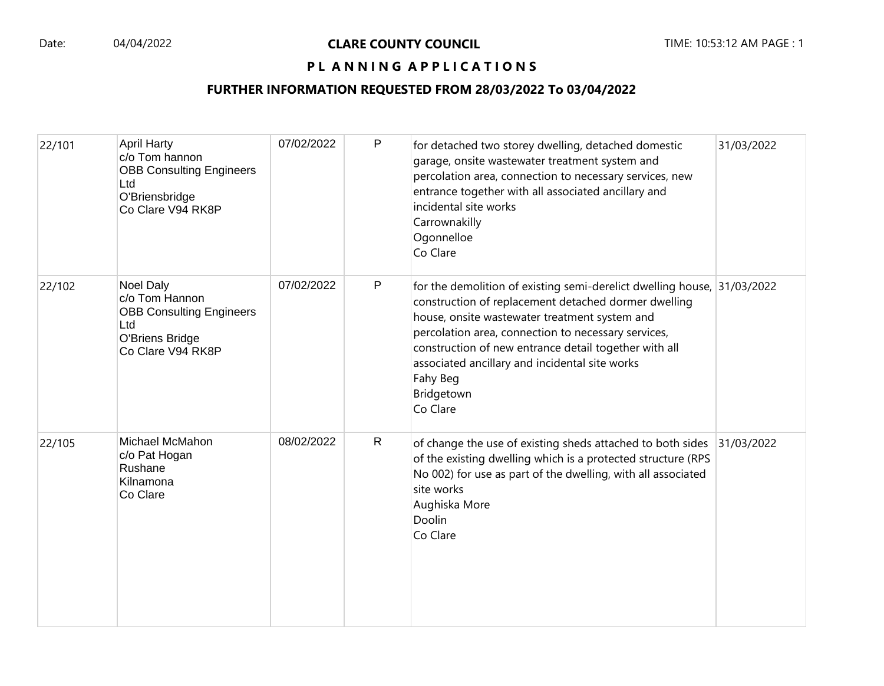## PL ANNING APPLICATIONS

| 22/101 | <b>April Harty</b><br>c/o Tom hannon<br><b>OBB Consulting Engineers</b><br>Ltd<br>O'Briensbridge<br>Co Clare V94 RK8P | 07/02/2022 | P            | for detached two storey dwelling, detached domestic<br>garage, onsite wastewater treatment system and<br>percolation area, connection to necessary services, new<br>entrance together with all associated ancillary and<br>incidental site works<br>Carrownakilly<br>Ogonnelloe<br>Co Clare                                                                                              | 31/03/2022 |
|--------|-----------------------------------------------------------------------------------------------------------------------|------------|--------------|------------------------------------------------------------------------------------------------------------------------------------------------------------------------------------------------------------------------------------------------------------------------------------------------------------------------------------------------------------------------------------------|------------|
| 22/102 | Noel Daly<br>c/o Tom Hannon<br><b>OBB Consulting Engineers</b><br>Ltd<br>O'Briens Bridge<br>Co Clare V94 RK8P         | 07/02/2022 | $\mathsf{P}$ | for the demolition of existing semi-derelict dwelling house, 31/03/2022<br>construction of replacement detached dormer dwelling<br>house, onsite wastewater treatment system and<br>percolation area, connection to necessary services,<br>construction of new entrance detail together with all<br>associated ancillary and incidental site works<br>Fahy Beg<br>Bridgetown<br>Co Clare |            |
| 22/105 | Michael McMahon<br>c/o Pat Hogan<br>Rushane<br>Kilnamona<br>Co Clare                                                  | 08/02/2022 | $\mathsf{R}$ | of change the use of existing sheds attached to both sides<br>of the existing dwelling which is a protected structure (RPS<br>No 002) for use as part of the dwelling, with all associated<br>site works<br>Aughiska More<br>Doolin<br>Co Clare                                                                                                                                          | 31/03/2022 |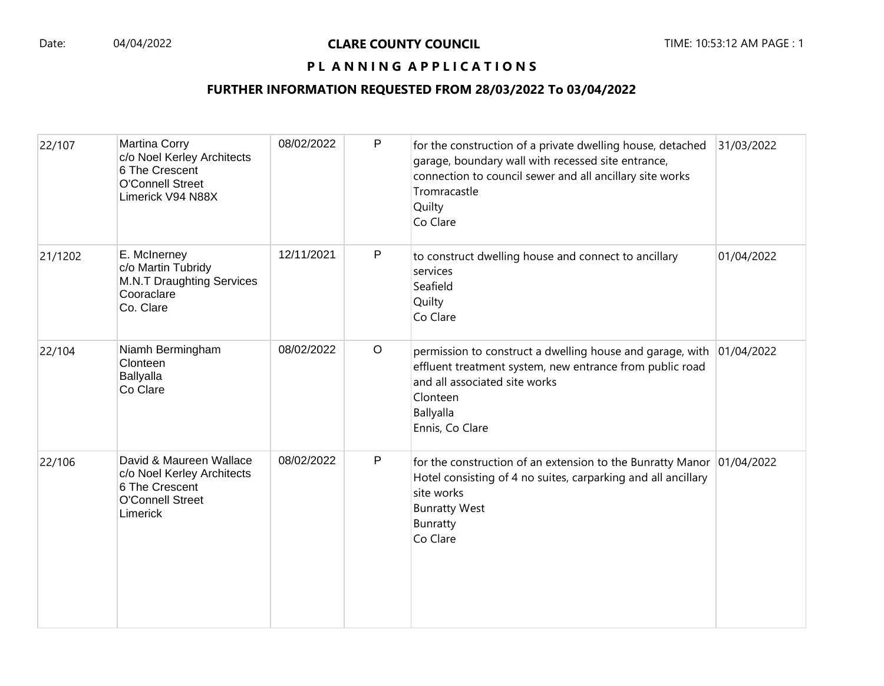## PL ANNING APPLICATIONS

| 22/107  | Martina Corry<br>c/o Noel Kerley Architects<br>6 The Crescent<br><b>O'Connell Street</b><br>Limerick V94 N88X  | 08/02/2022 | P           | for the construction of a private dwelling house, detached<br>garage, boundary wall with recessed site entrance,<br>connection to council sewer and all ancillary site works<br>Tromracastle<br>Quilty<br>Co Clare | 31/03/2022 |
|---------|----------------------------------------------------------------------------------------------------------------|------------|-------------|--------------------------------------------------------------------------------------------------------------------------------------------------------------------------------------------------------------------|------------|
| 21/1202 | E. McInerney<br>c/o Martin Tubridy<br><b>M.N.T Draughting Services</b><br>Cooraclare<br>Co. Clare              | 12/11/2021 | P           | to construct dwelling house and connect to ancillary<br>services<br>Seafield<br>Quilty<br>Co Clare                                                                                                                 | 01/04/2022 |
| 22/104  | Niamh Bermingham<br>Clonteen<br><b>Ballyalla</b><br>Co Clare                                                   | 08/02/2022 | $\circ$     | permission to construct a dwelling house and garage, with 01/04/2022<br>effluent treatment system, new entrance from public road<br>and all associated site works<br>Clonteen<br>Ballyalla<br>Ennis, Co Clare      |            |
| 22/106  | David & Maureen Wallace<br>c/o Noel Kerley Architects<br>6 The Crescent<br><b>O'Connell Street</b><br>Limerick | 08/02/2022 | $\mathsf P$ | for the construction of an extension to the Bunratty Manor $ 01/04/2022 $<br>Hotel consisting of 4 no suites, carparking and all ancillary<br>site works<br><b>Bunratty West</b><br>Bunratty<br>Co Clare           |            |